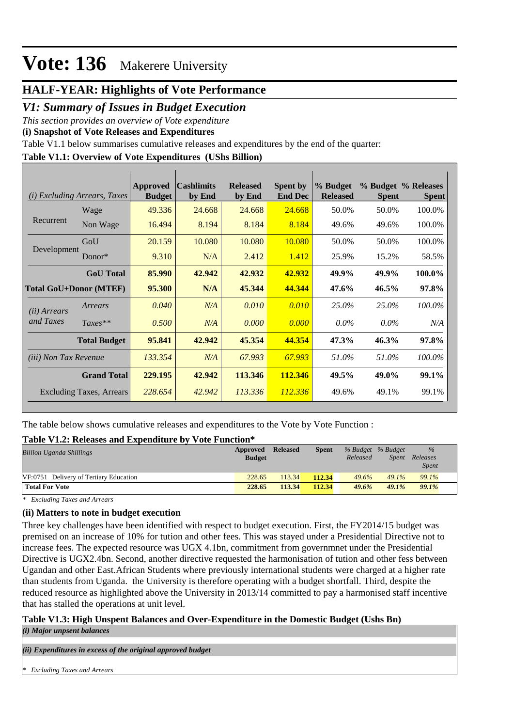## **HALF-YEAR: Highlights of Vote Performance**

### *V1: Summary of Issues in Budget Execution*

*This section provides an overview of Vote expenditure* 

**(i) Snapshot of Vote Releases and Expenditures**

Table V1.1 below summarises cumulative releases and expenditures by the end of the quarter:

### **Table V1.1: Overview of Vote Expenditures (UShs Billion)**

|                              | ( <i>i</i> ) Excluding Arrears, Taxes | <b>Approved</b><br><b>Budget</b> | <b>Cashlimits</b><br>by End | <b>Released</b><br>by End | <b>Spent by</b><br><b>End Dec</b> | % Budget<br><b>Released</b> | <b>Spent</b> | % Budget % Releases<br><b>Spent</b> |
|------------------------------|---------------------------------------|----------------------------------|-----------------------------|---------------------------|-----------------------------------|-----------------------------|--------------|-------------------------------------|
|                              | Wage                                  | 49.336                           | 24.668                      | 24.668                    | 24.668                            | 50.0%                       | 50.0%        | 100.0%                              |
| Recurrent                    | Non Wage                              | 16.494                           | 8.194                       | 8.184                     | 8.184                             | 49.6%                       | 49.6%        | 100.0%                              |
|                              | GoU                                   | 20.159                           | 10.080                      | 10.080                    | 10.080                            | 50.0%                       | 50.0%        | 100.0%                              |
| Development                  | Donor*                                | 9.310                            | N/A                         | 2.412                     | 1.412                             | 25.9%                       | 15.2%        | 58.5%                               |
|                              | <b>GoU</b> Total                      | 85,990                           | 42.942                      | 42.932                    | 42.932                            | 49.9%                       | 49.9%        | 100.0%                              |
|                              | <b>Total GoU+Donor (MTEF)</b>         | 95.300                           | N/A                         | 45.344                    | 44.344                            | 47.6%                       | $46.5\%$     | 97.8%                               |
| ( <i>ii</i> ) Arrears        | Arrears                               | 0.040                            | N/A                         | 0.010                     | 0.010                             | 25.0%                       | 25.0%        | 100.0%                              |
| and Taxes                    | $Taxes**$                             | 0.500                            | N/A                         | 0.000                     | 0.000                             | $0.0\%$                     | $0.0\%$      | N/A                                 |
|                              | <b>Total Budget</b>                   | 95.841                           | 42.942                      | 45.354                    | 44.354                            | 47.3%                       | 46.3%        | 97.8%                               |
| <i>(iii)</i> Non Tax Revenue |                                       | 133.354                          | N/A                         | 67.993                    | 67.993                            | 51.0%                       | 51.0%        | 100.0%                              |
|                              | <b>Grand Total</b>                    | 229.195                          | 42.942                      | 113.346                   | 112.346                           | 49.5%                       | 49.0%        | 99.1%                               |
|                              | Excluding Taxes, Arrears              | 228.654                          | 42.942                      | 113.336                   | 112.336                           | 49.6%                       | 49.1%        | 99.1%                               |

The table below shows cumulative releases and expenditures to the Vote by Vote Function :

#### **Table V1.2: Releases and Expenditure by Vote Function\***

| <b>Billion Uganda Shillings</b>        | Approved<br><b>Budget</b> | <b>Released</b> | <b>Spent</b> | % Budget % Budget<br>Released | Spent    | $\%$<br>Releases<br><b>Spent</b> |
|----------------------------------------|---------------------------|-----------------|--------------|-------------------------------|----------|----------------------------------|
| VF:0751 Delivery of Tertiary Education | 228.65                    | 113.34          | 112.34       | 49.6%                         | $49.1\%$ | 99.1%                            |
| <b>Total For Vote</b>                  | 228.65                    | 113.34          | 112.34       | 49.6%                         | 49.1%    | 99.1%                            |

*\* Excluding Taxes and Arrears*

#### **(ii) Matters to note in budget execution**

Three key challenges have been identified with respect to budget execution. First, the FY2014/15 budget was premised on an increase of 10% for tution and other fees. This was stayed under a Presidential Directive not to increase fees. The expected resource was UGX 4.1bn, commitment from governmnet under the Presidential Directive is UGX2.4bn. Second, another directive requested the harmonisation of tution and other fess between Ugandan and other East.African Students where previously international students were charged at a higher rate than students from Uganda. the University is therefore operating with a budget shortfall. Third, despite the reduced resource as highlighted above the University in 2013/14 committed to pay a harmonised staff incentive that has stalled the operations at unit level.

### **Table V1.3: High Unspent Balances and Over-Expenditure in the Domestic Budget (Ushs Bn)**

*(i) Major unpsent balances*

*(ii) Expenditures in excess of the original approved budget*

*\* Excluding Taxes and Arrears*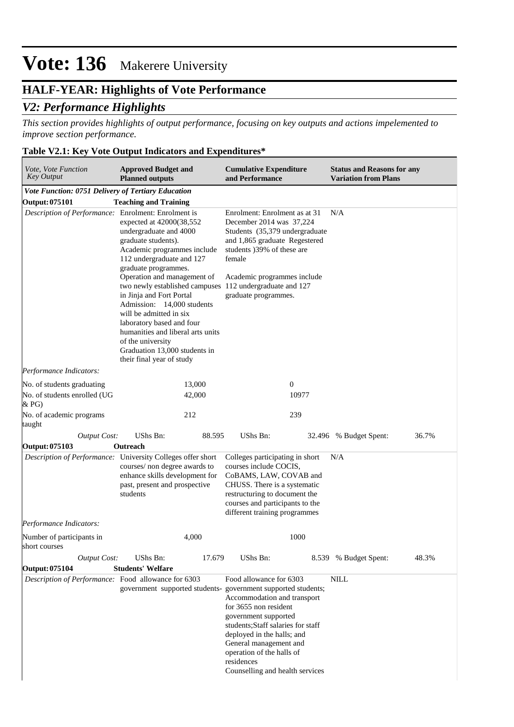## **HALF-YEAR: Highlights of Vote Performance**

### *V2: Performance Highlights*

*This section provides highlights of output performance, focusing on key outputs and actions impelemented to improve section performance.*

### **Table V2.1: Key Vote Output Indicators and Expenditures\***

| Vote, Vote Function<br><b>Key Output</b>                  | <b>Approved Budget and</b><br><b>Planned outputs</b>                                                                                                                                                                                                                                                                                                                                                                                                                     | <b>Cumulative Expenditure</b><br>and Performance                                                                                                                                                                                                                                                                                                    | <b>Status and Reasons for any</b><br><b>Variation from Plans</b> |
|-----------------------------------------------------------|--------------------------------------------------------------------------------------------------------------------------------------------------------------------------------------------------------------------------------------------------------------------------------------------------------------------------------------------------------------------------------------------------------------------------------------------------------------------------|-----------------------------------------------------------------------------------------------------------------------------------------------------------------------------------------------------------------------------------------------------------------------------------------------------------------------------------------------------|------------------------------------------------------------------|
| <b>Vote Function: 0751 Delivery of Tertiary Education</b> |                                                                                                                                                                                                                                                                                                                                                                                                                                                                          |                                                                                                                                                                                                                                                                                                                                                     |                                                                  |
| Output: 075101                                            | <b>Teaching and Training</b>                                                                                                                                                                                                                                                                                                                                                                                                                                             |                                                                                                                                                                                                                                                                                                                                                     |                                                                  |
| Description of Performance: Enrolment: Enrolment is       | expected at 42000(38,552<br>undergraduate and 4000<br>graduate students).<br>Academic programmes include<br>112 undergraduate and 127<br>graduate programmes.<br>Operation and management of<br>two newly established campuses<br>in Jinja and Fort Portal<br>Admission: 14,000 students<br>will be admitted in six<br>laboratory based and four<br>humanities and liberal arts units<br>of the university<br>Graduation 13,000 students in<br>their final year of study | Enrolment: Enrolment as at 31<br>December 2014 was 37,224<br>Students (35,379 undergraduate<br>and 1,865 graduate Regestered<br>students )39% of these are<br>female<br>Academic programmes include<br>112 undergraduate and 127<br>graduate programmes.                                                                                            | N/A                                                              |
| Performance Indicators:                                   |                                                                                                                                                                                                                                                                                                                                                                                                                                                                          |                                                                                                                                                                                                                                                                                                                                                     |                                                                  |
| No. of students graduating                                | 13,000                                                                                                                                                                                                                                                                                                                                                                                                                                                                   | $\boldsymbol{0}$                                                                                                                                                                                                                                                                                                                                    |                                                                  |
| No. of students enrolled (UG<br>& P <sub>G</sub>          | 42,000                                                                                                                                                                                                                                                                                                                                                                                                                                                                   | 10977                                                                                                                                                                                                                                                                                                                                               |                                                                  |
| No. of academic programs<br>taught                        | 212                                                                                                                                                                                                                                                                                                                                                                                                                                                                      | 239                                                                                                                                                                                                                                                                                                                                                 |                                                                  |
| <b>Output Cost:</b>                                       | <b>UShs Bn:</b><br>88.595                                                                                                                                                                                                                                                                                                                                                                                                                                                | UShs Bn:                                                                                                                                                                                                                                                                                                                                            | 36.7%<br>32.496 % Budget Spent:                                  |
| Output: 075103                                            | Outreach                                                                                                                                                                                                                                                                                                                                                                                                                                                                 |                                                                                                                                                                                                                                                                                                                                                     |                                                                  |
|                                                           | Description of Performance: University Colleges offer short<br>courses/ non degree awards to<br>enhance skills development for<br>past, present and prospective<br>students                                                                                                                                                                                                                                                                                              | Colleges participating in short<br>courses include COCIS,<br>CoBAMS, LAW, COVAB and<br>CHUSS. There is a systematic<br>restructuring to document the<br>courses and participants to the<br>different training programmes                                                                                                                            | N/A                                                              |
| Performance Indicators:                                   |                                                                                                                                                                                                                                                                                                                                                                                                                                                                          |                                                                                                                                                                                                                                                                                                                                                     |                                                                  |
| Number of participants in<br>short courses                | 4,000                                                                                                                                                                                                                                                                                                                                                                                                                                                                    | 1000                                                                                                                                                                                                                                                                                                                                                |                                                                  |
| <b>Output Cost:</b>                                       | UShs Bn:<br>17.679                                                                                                                                                                                                                                                                                                                                                                                                                                                       | UShs Bn:                                                                                                                                                                                                                                                                                                                                            | 8.539 % Budget Spent:<br>48.3%                                   |
| Output: 075104                                            | <b>Students' Welfare</b>                                                                                                                                                                                                                                                                                                                                                                                                                                                 |                                                                                                                                                                                                                                                                                                                                                     |                                                                  |
| Description of Performance: Food allowance for 6303       |                                                                                                                                                                                                                                                                                                                                                                                                                                                                          | Food allowance for 6303<br>government supported students- government supported students;<br>Accommodation and transport<br>for 3655 non resident<br>government supported<br>students;Staff salaries for staff<br>deployed in the halls; and<br>General management and<br>operation of the halls of<br>residences<br>Counselling and health services | <b>NILL</b>                                                      |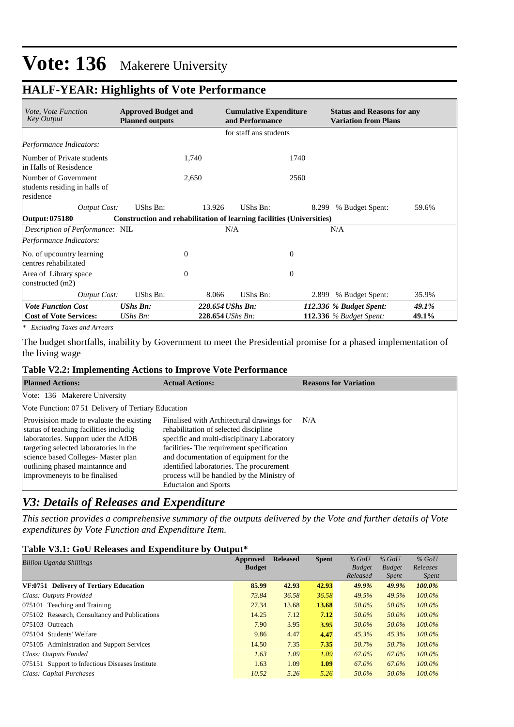## **HALF-YEAR: Highlights of Vote Performance**

| <i>Vote, Vote Function</i><br><b>Key Output</b>                    | <b>Approved Budget and</b><br><b>Planned outputs</b>                  |                | <b>Cumulative Expenditure</b><br>and Performance |              | <b>Status and Reasons for any</b><br><b>Variation from Plans</b> |       |
|--------------------------------------------------------------------|-----------------------------------------------------------------------|----------------|--------------------------------------------------|--------------|------------------------------------------------------------------|-------|
|                                                                    |                                                                       |                | for staff ans students                           |              |                                                                  |       |
| Performance Indicators:                                            |                                                                       |                |                                                  |              |                                                                  |       |
| Number of Private students<br>in Halls of Resisdence               |                                                                       | 1,740          |                                                  | 1740         |                                                                  |       |
| Number of Government<br>students residing in halls of<br>residence |                                                                       | 2,650          |                                                  | 2560         |                                                                  |       |
| <b>Output Cost:</b>                                                | UShs Bn:                                                              | 13.926         | UShs Bn:                                         |              | % Budget Spent:<br>8.299                                         | 59.6% |
| <b>Output: 075180</b>                                              | Construction and rehabilitation of learning facilities (Universities) |                |                                                  |              |                                                                  |       |
| Description of Performance: NIL                                    |                                                                       |                | N/A                                              |              | N/A                                                              |       |
| Performance Indicators:                                            |                                                                       |                |                                                  |              |                                                                  |       |
| No. of upcountry learning<br>centres rehabilitated                 |                                                                       | $\theta$       |                                                  | $\mathbf{0}$ |                                                                  |       |
| Area of Library space<br>constructed (m2)                          |                                                                       | $\overline{0}$ |                                                  | $\theta$     |                                                                  |       |
| <b>Output Cost:</b>                                                | UShs Bn:                                                              | 8.066          | UShs Bn:                                         |              | % Budget Spent:<br>2.899                                         | 35.9% |
| <b>Vote Function Cost</b>                                          | <b>UShs Bn:</b>                                                       |                | 228.654 UShs Bn:                                 |              | 112.336 % Budget Spent:                                          | 49.1% |
| <b>Cost of Vote Services:</b>                                      | $UShs Bn$ :                                                           |                | 228.654 UShs Bn:                                 |              | <b>112.336</b> % Budget Spent:                                   | 49.1% |

*\* Excluding Taxes and Arrears*

The budget shortfalls, inability by Government to meet the Presidential promise for a phased implementation of the living wage

#### **Table V2.2: Implementing Actions to Improve Vote Performance**

| <b>Planned Actions:</b>                                                                                                                                                                                                                                                         | <b>Actual Actions:</b>                                                                                                                                                                                                                                                                                                                           | <b>Reasons for Variation</b> |
|---------------------------------------------------------------------------------------------------------------------------------------------------------------------------------------------------------------------------------------------------------------------------------|--------------------------------------------------------------------------------------------------------------------------------------------------------------------------------------------------------------------------------------------------------------------------------------------------------------------------------------------------|------------------------------|
| Vote: 136 Makerere University                                                                                                                                                                                                                                                   |                                                                                                                                                                                                                                                                                                                                                  |                              |
| Vote Function: 07.51 Delivery of Tertiary Education                                                                                                                                                                                                                             |                                                                                                                                                                                                                                                                                                                                                  |                              |
| Provisision made to evaluate the existing<br>status of teaching facilities includig<br>laboratories. Support uder the AfDB<br>targeting selected laboratories in the<br>science based Colleges- Master plan<br>outlining phased maintannce and<br>improvmeneyts to be finalised | Finalised with Architectural drawings for<br>rehabilitation of selected discipline<br>specific and multi-disciplinary Laboratory<br>facilities- The requirement specification<br>and documentation of equipment for the<br>identified laboratories. The procurement<br>process will be handled by the Ministry of<br><b>Eductaion and Sports</b> | N/A                          |

## *V3: Details of Releases and Expenditure*

*This section provides a comprehensive summary of the outputs delivered by the Vote and further details of Vote expenditures by Vote Function and Expenditure Item.*

#### **Table V3.1: GoU Releases and Expenditure by Output\***

| <b>Billion Uganda Shillings</b>                 | Approved      | <b>Released</b> | <b>Spent</b> | $%$ GoU       | $%$ GoU       | $%$ GoU      |
|-------------------------------------------------|---------------|-----------------|--------------|---------------|---------------|--------------|
|                                                 | <b>Budget</b> |                 |              | <b>Budget</b> | <b>Budget</b> | Releases     |
|                                                 |               |                 |              | Released      | <i>Spent</i>  | <i>Spent</i> |
| VF:0751 Delivery of Tertiary Education          | 85.99         | 42.93           | 42.93        | 49.9%         | 49.9%         | 100.0%       |
| Class: Outputs Provided                         | 73.84         | 36.58           | 36.58        | 49.5%         | 49.5%         | $100.0\%$    |
| 075101 Teaching and Training                    | 27.34         | 13.68           | 13.68        | 50.0%         | 50.0%         | $100.0\%$    |
| 075102 Research, Consultancy and Publications   | 14.25         | 7.12            | 7.12         | 50.0%         | 50.0%         | $100.0\%$    |
| 075103 Outreach                                 | 7.90          | 3.95            | 3.95         | 50.0%         | 50.0%         | $100.0\%$    |
| 075104 Students' Welfare                        | 9.86          | 4.47            | 4.47         | 45.3%         | 45.3%         | $100.0\%$    |
| 075105 Administration and Support Services      | 14.50         | 7.35            | 7.35         | 50.7%         | 50.7%         | $100.0\%$    |
| Class: Outputs Funded                           | 1.63          | 1.09            | 1.09         | 67.0%         | 67.0%         | $100.0\%$    |
| 075151 Support to Infectious Diseases Institute | 1.63          | 1.09            | 1.09         | 67.0%         | 67.0%         | $100.0\%$    |
| Class: Capital Purchases                        | 10.52         | 5.26            | 5.26         | 50.0%         | 50.0%         | $100.0\%$    |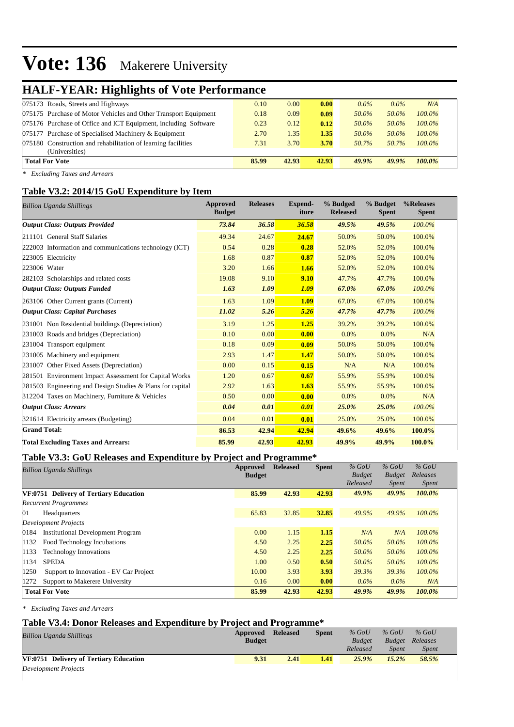## **HALF-YEAR: Highlights of Vote Performance**

| 075173 Roads, Streets and Highways                              | 0.10  | 0.00  | 0.00  | $0.0\%$ | $0.0\%$ | N/A       |  |
|-----------------------------------------------------------------|-------|-------|-------|---------|---------|-----------|--|
| 075175 Purchase of Motor Vehicles and Other Transport Equipment | 0.18  | 0.09  | 0.09  | 50.0%   | 50.0%   | $100.0\%$ |  |
| 075176 Purchase of Office and ICT Equipment, including Software | 0.23  | 0.12  | 0.12  | 50.0%   | 50.0%   | $100.0\%$ |  |
| 075177 Purchase of Specialised Machinery & Equipment            | 2.70  | 1.35  | 1.35  | 50.0%   | 50.0%   | $100.0\%$ |  |
| 075180 Construction and rehabilitation of learning facilities   | 7.31  | 3.70  | 3.70  | 50.7%   | 50.7%   | $100.0\%$ |  |
| (Universities)                                                  |       |       |       |         |         |           |  |
| <b>Total For Vote</b>                                           | 85.99 | 42.93 | 42.93 | 49.9%   | 49.9%   | $100.0\%$ |  |
|                                                                 |       |       |       |         |         |           |  |

*\* Excluding Taxes and Arrears*

#### **Table V3.2: 2014/15 GoU Expenditure by Item**

| <b>Billion Uganda Shillings</b>                           | <b>Approved</b><br><b>Budget</b> | <b>Releases</b> | <b>Expend-</b><br>iture | % Budged<br><b>Released</b> | % Budget<br><b>Spent</b> | %Releases<br><b>Spent</b> |
|-----------------------------------------------------------|----------------------------------|-----------------|-------------------------|-----------------------------|--------------------------|---------------------------|
| <b>Output Class: Outputs Provided</b>                     | 73.84                            | 36.58           | 36.58                   | 49.5%                       | 49.5%                    | $100.0\%$                 |
| 211101 General Staff Salaries                             | 49.34                            | 24.67           | 24.67                   | 50.0%                       | 50.0%                    | 100.0%                    |
| 222003 Information and communications technology (ICT)    | 0.54                             | 0.28            | 0.28                    | 52.0%                       | 52.0%                    | 100.0%                    |
| 223005 Electricity                                        | 1.68                             | 0.87            | 0.87                    | 52.0%                       | 52.0%                    | 100.0%                    |
| 223006 Water                                              | 3.20                             | 1.66            | 1.66                    | 52.0%                       | 52.0%                    | 100.0%                    |
| 282103 Scholarships and related costs                     | 19.08                            | 9.10            | 9.10                    | 47.7%                       | 47.7%                    | 100.0%                    |
| <b>Output Class: Outputs Funded</b>                       | 1.63                             | 1.09            | 1.09                    | 67.0%                       | 67.0%                    | 100.0%                    |
| 263106 Other Current grants (Current)                     | 1.63                             | 1.09            | 1.09                    | 67.0%                       | 67.0%                    | 100.0%                    |
| <b>Output Class: Capital Purchases</b>                    | 11.02                            | 5.26            | 5.26                    | 47.7%                       | 47.7%                    | 100.0%                    |
| 231001 Non Residential buildings (Depreciation)           | 3.19                             | 1.25            | 1.25                    | 39.2%                       | 39.2%                    | 100.0%                    |
| 231003 Roads and bridges (Depreciation)                   | 0.10                             | 0.00            | 0.00                    | 0.0%                        | 0.0%                     | N/A                       |
| 231004 Transport equipment                                | 0.18                             | 0.09            | 0.09                    | 50.0%                       | 50.0%                    | 100.0%                    |
| 231005 Machinery and equipment                            | 2.93                             | 1.47            | 1.47                    | 50.0%                       | 50.0%                    | 100.0%                    |
| 231007 Other Fixed Assets (Depreciation)                  | 0.00                             | 0.15            | 0.15                    | N/A                         | N/A                      | 100.0%                    |
| 281501 Environment Impact Assessment for Capital Works    | 1.20                             | 0.67            | 0.67                    | 55.9%                       | 55.9%                    | 100.0%                    |
| 281503 Engineering and Design Studies & Plans for capital | 2.92                             | 1.63            | 1.63                    | 55.9%                       | 55.9%                    | 100.0%                    |
| 312204 Taxes on Machinery, Furniture & Vehicles           | 0.50                             | 0.00            | 0.00                    | 0.0%                        | 0.0%                     | N/A                       |
| <b>Output Class: Arrears</b>                              | 0.04                             | 0.01            | 0.01                    | 25.0%                       | 25.0%                    | 100.0%                    |
| 321614 Electricity arrears (Budgeting)                    | 0.04                             | 0.01            | 0.01                    | 25.0%                       | 25.0%                    | 100.0%                    |
| <b>Grand Total:</b>                                       | 86.53                            | 42.94           | 42.94                   | 49.6%                       | 49.6%                    | 100.0%                    |
| <b>Total Excluding Taxes and Arrears:</b>                 | 85.99                            | 42.93           | 42.93                   | 49.9%                       | 49.9%                    | 100.0%                    |

#### **Table V3.3: GoU Releases and Expenditure by Project and Programme\***

| <b>Billion Uganda Shillings</b>                  | Approved      | <b>Released</b> | <b>Spent</b> | $%$ GoU       | $%$ GoU       | $%$ GoU      |
|--------------------------------------------------|---------------|-----------------|--------------|---------------|---------------|--------------|
|                                                  | <b>Budget</b> |                 |              | <b>Budget</b> | <b>Budget</b> | Releases     |
|                                                  |               |                 |              | Released      | <i>Spent</i>  | <i>Spent</i> |
| VF:0751 Delivery of Tertiary Education           | 85.99         | 42.93           | 42.93        | 49.9%         | 49.9%         | 100.0%       |
| <b>Recurrent Programmes</b>                      |               |                 |              |               |               |              |
| 101<br>Headquarters                              | 65.83         | 32.85           | 32.85        | 49.9%         | 49.9%         | 100.0%       |
| <b>Development Projects</b>                      |               |                 |              |               |               |              |
| <b>Institutional Development Program</b><br>0184 | 0.00          | 1.15            | 1.15         | N/A           | N/A           | 100.0%       |
| 1132<br>Food Technology Incubations              | 4.50          | 2.25            | 2.25         | 50.0%         | 50.0%         | 100.0%       |
| 1133<br><b>Technology Innovations</b>            | 4.50          | 2.25            | 2.25         | 50.0%         | 50.0%         | $100.0\%$    |
| <b>SPEDA</b><br>1134                             | 1.00          | 0.50            | 0.50         | 50.0%         | 50.0%         | 100.0%       |
| 1250<br>Support to Innovation - EV Car Project   | 10.00         | 3.93            | 3.93         | 39.3%         | 39.3%         | $100.0\%$    |
| 1272<br>Support to Makerere University           | 0.16          | 0.00            | 0.00         | $0.0\%$       | $0.0\%$       | N/A          |
| <b>Total For Vote</b>                            | 85.99         | 42.93           | 42.93        | 49.9%         | 49.9%         | 100.0%       |

*\* Excluding Taxes and Arrears*

#### **Table V3.4: Donor Releases and Expenditure by Project and Programme\***

| <b>Billion Uganda Shillings</b>        | Approved<br><b>Budget</b> | <b>Released</b> | <b>Spent</b> | $%$ GoU<br><b>Budget</b><br>Released | $%$ GoU<br>Spent | $%$ GoU<br><b>Budget</b> Releases<br><b>Spent</b> |  |
|----------------------------------------|---------------------------|-----------------|--------------|--------------------------------------|------------------|---------------------------------------------------|--|
| VF:0751 Delivery of Tertiary Education | 9.31                      | 2.41            | 1.41         | 25.9%                                | 15.2%            | 58.5%                                             |  |
| Development Projects                   |                           |                 |              |                                      |                  |                                                   |  |

*Development Projects*